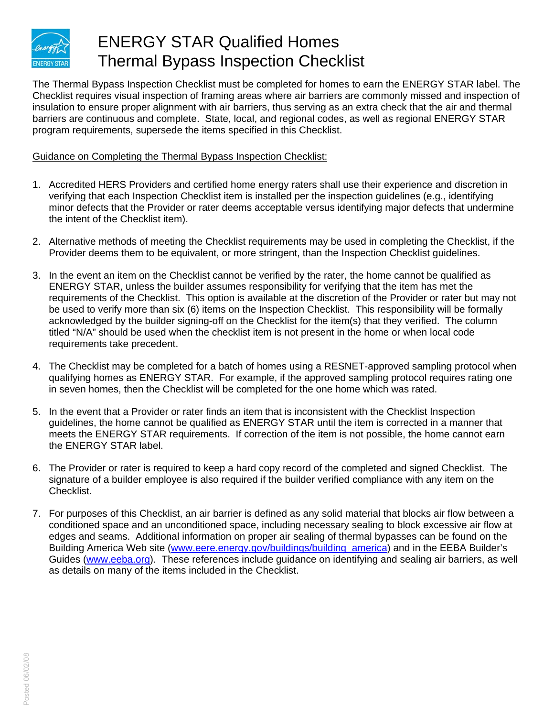

## ENERGY STAR Qualified Homes Thermal Bypass Inspection Checklist

The Thermal Bypass Inspection Checklist must be completed for homes to earn the ENERGY STAR label. The Checklist requires visual inspection of framing areas where air barriers are commonly missed and inspection of insulation to ensure proper alignment with air barriers, thus serving as an extra check that the air and thermal barriers are continuous and complete. State, local, and regional codes, as well as regional ENERGY STAR program requirements, supersede the items specified in this Checklist.

## Guidance on Completing the Thermal Bypass Inspection Checklist:

- 1. Accredited HERS Providers and certified home energy raters shall use their experience and discretion in verifying that each Inspection Checklist item is installed per the inspection guidelines (e.g., identifying minor defects that the Provider or rater deems acceptable versus identifying major defects that undermine the intent of the Checklist item).
- 2. Alternative methods of meeting the Checklist requirements may be used in completing the Checklist, if the Provider deems them to be equivalent, or more stringent, than the Inspection Checklist guidelines.
- 3. In the event an item on the Checklist cannot be verified by the rater, the home cannot be qualified as ENERGY STAR, unless the builder assumes responsibility for verifying that the item has met the requirements of the Checklist. This option is available at the discretion of the Provider or rater but may not be used to verify more than six (6) items on the Inspection Checklist. This responsibility will be formally acknowledged by the builder signing-off on the Checklist for the item(s) that they verified. The column titled "N/A" should be used when the checklist item is not present in the home or when local code requirements take precedent.
- 4. The Checklist may be completed for a batch of homes using a RESNET-approved sampling protocol when qualifying homes as ENERGY STAR. For example, if the approved sampling protocol requires rating one in seven homes, then the Checklist will be completed for the one home which was rated.
- 5. In the event that a Provider or rater finds an item that is inconsistent with the Checklist Inspection guidelines, the home cannot be qualified as ENERGY STAR until the item is corrected in a manner that meets the ENERGY STAR requirements. If correction of the item is not possible, the home cannot earn the ENERGY STAR label.
- 6. The Provider or rater is required to keep a hard copy record of the completed and signed Checklist. The signature of a builder employee is also required if the builder verified compliance with any item on the Checklist.
- 7. For purposes of this Checklist, an air barrier is defined as any solid material that blocks air flow between a conditioned space and an unconditioned space, including necessary sealing to block excessive air flow at edges and seams. Additional information on proper air sealing of thermal bypasses can be found on the Building America Web site [\(www.eere.energy.gov/buildings/building\\_america](http://www.eere.energy.gov/buildings/building_america)) and in the EEBA Builder's Guides ([www.eeba.org\)](http://www.eeba.org/). These references include guidance on identifying and sealing air barriers, as well as details on many of the items included in the Checklist.